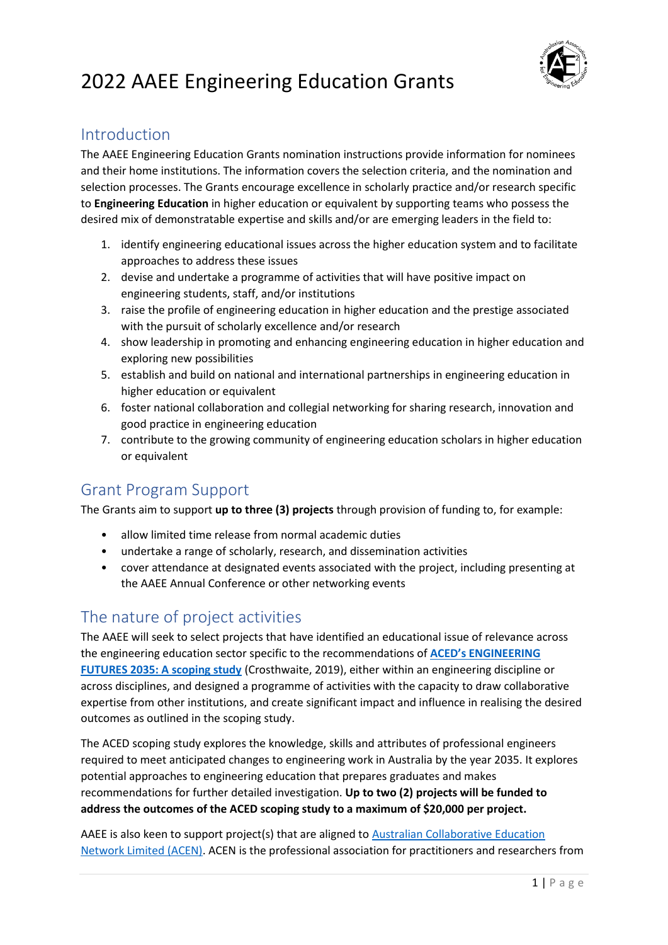

## Introduction

The AAEE Engineering Education Grants nomination instructions provide information for nominees and their home institutions. The information covers the selection criteria, and the nomination and selection processes. The Grants encourage excellence in scholarly practice and/or research specific to **Engineering Education** in higher education or equivalent by supporting teams who possess the desired mix of demonstratable expertise and skills and/or are emerging leaders in the field to:

- 1. identify engineering educational issues across the higher education system and to facilitate approaches to address these issues
- 2. devise and undertake a programme of activities that will have positive impact on engineering students, staff, and/or institutions
- 3. raise the profile of engineering education in higher education and the prestige associated with the pursuit of scholarly excellence and/or research
- 4. show leadership in promoting and enhancing engineering education in higher education and exploring new possibilities
- 5. establish and build on national and international partnerships in engineering education in higher education or equivalent
- 6. foster national collaboration and collegial networking for sharing research, innovation and good practice in engineering education
- 7. contribute to the growing community of engineering education scholars in higher education or equivalent

# Grant Program Support

The Grants aim to support **up to three (3) projects** through provision of funding to, for example:

- allow limited time release from normal academic duties
- undertake a range of scholarly, research, and dissemination activities
- cover attendance at designated events associated with the project, including presenting at the AAEE Annual Conference or other networking events

# The nature of project activities

The AAEE will seek to select projects that have identified an educational issue of relevance across the engineering education sector specific to the recommendations of **[ACED's ENGINEERING](http://www.aced.edu.au/downloads/Engineering%20Futures%202035_Stage%201%20report%20for%20ACED_May_16_2019.pdf)  [FUTURES 2035: A scoping study](http://www.aced.edu.au/downloads/Engineering%20Futures%202035_Stage%201%20report%20for%20ACED_May_16_2019.pdf)** (Crosthwaite, 2019), either within an engineering discipline or across disciplines, and designed a programme of activities with the capacity to draw collaborative expertise from other institutions, and create significant impact and influence in realising the desired outcomes as outlined in the scoping study.

The ACED scoping study explores the knowledge, skills and attributes of professional engineers required to meet anticipated changes to engineering work in Australia by the year 2035. It explores potential approaches to engineering education that prepares graduates and makes recommendations for further detailed investigation. **Up to two (2) projects will be funded to address the outcomes of the ACED scoping study to a maximum of \$20,000 per project.** 

AAEE is also keen to support project(s) that are aligned to **Australian Collaborative Education** [Network Limited \(ACEN\).](https://acen.edu.au/) ACEN is the professional association for practitioners and researchers from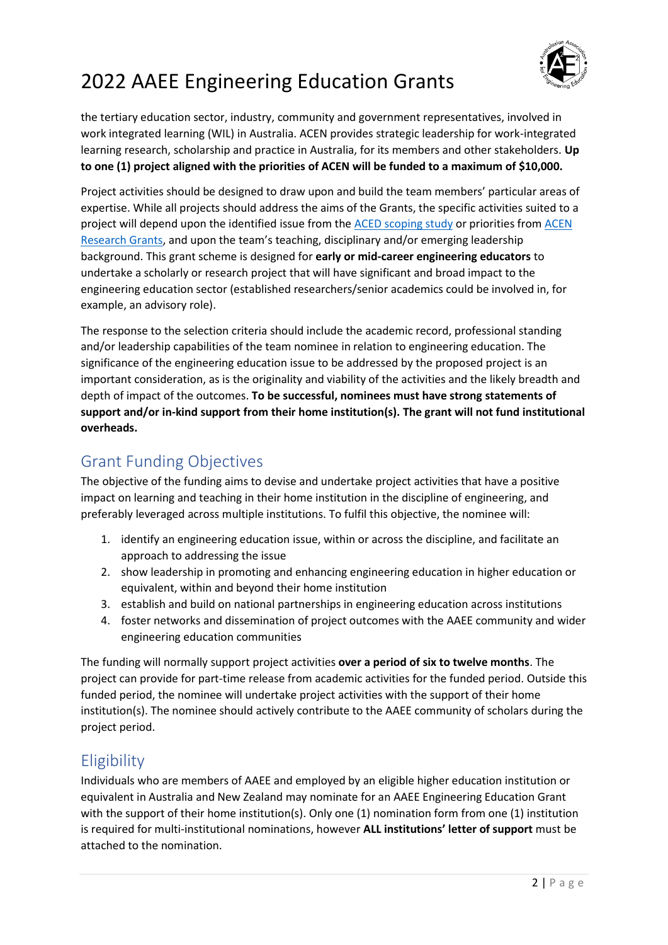

the tertiary education sector, industry, community and government representatives, involved in work integrated learning (WIL) in Australia. ACEN provides strategic leadership for work-integrated learning research, scholarship and practice in Australia, for its members and other stakeholders. **Up to one (1) project aligned with the priorities of ACEN will be funded to a maximum of \$10,000.**

Project activities should be designed to draw upon and build the team members' particular areas of expertise. While all projects should address the aims of the Grants, the specific activities suited to a project will depend upon the identified issue from the [ACED scoping study](http://www.aced.edu.au/downloads/Engineering%20Futures%202035_Stage%201%20report%20for%20ACED_May_16_2019.pdf) or priorities from [ACEN](https://acen.edu.au/2021-research-grants/)  [Research Grants,](https://acen.edu.au/2021-research-grants/) and upon the team's teaching, disciplinary and/or emerging leadership background. This grant scheme is designed for **early or mid-career engineering educators** to undertake a scholarly or research project that will have significant and broad impact to the engineering education sector (established researchers/senior academics could be involved in, for example, an advisory role).

The response to the selection criteria should include the academic record, professional standing and/or leadership capabilities of the team nominee in relation to engineering education. The significance of the engineering education issue to be addressed by the proposed project is an important consideration, as is the originality and viability of the activities and the likely breadth and depth of impact of the outcomes. **To be successful, nominees must have strong statements of support and/or in-kind support from their home institution(s). The grant will not fund institutional overheads.**

# Grant Funding Objectives

The objective of the funding aims to devise and undertake project activities that have a positive impact on learning and teaching in their home institution in the discipline of engineering, and preferably leveraged across multiple institutions. To fulfil this objective, the nominee will:

- 1. identify an engineering education issue, within or across the discipline, and facilitate an approach to addressing the issue
- 2. show leadership in promoting and enhancing engineering education in higher education or equivalent, within and beyond their home institution
- 3. establish and build on national partnerships in engineering education across institutions
- 4. foster networks and dissemination of project outcomes with the AAEE community and wider engineering education communities

The funding will normally support project activities **over a period of six to twelve months**. The project can provide for part-time release from academic activities for the funded period. Outside this funded period, the nominee will undertake project activities with the support of their home institution(s). The nominee should actively contribute to the AAEE community of scholars during the project period.

# **Eligibility**

Individuals who are members of AAEE and employed by an eligible higher education institution or equivalent in Australia and New Zealand may nominate for an AAEE Engineering Education Grant with the support of their home institution(s). Only one (1) nomination form from one (1) institution is required for multi-institutional nominations, however **ALL institutions' letter of support** must be attached to the nomination.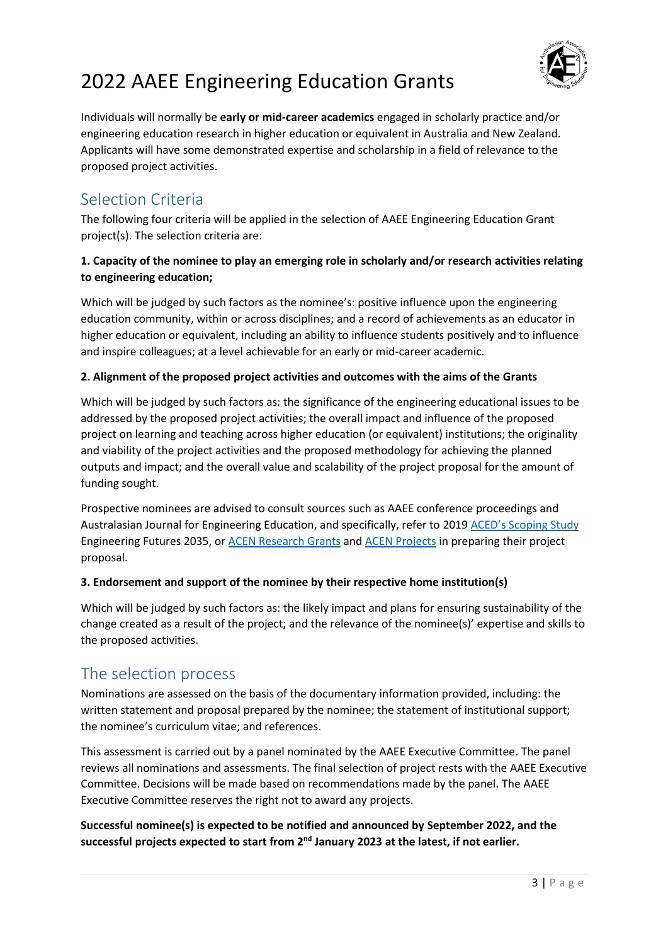

Individuals will normally be **early or mid-career academics** engaged in scholarly practice and/or engineering education research in higher education or equivalent in Australia and New Zealand. Applicants will have some demonstrated expertise and scholarship in a field of relevance to the proposed project activities.

# Selection Criteria

The following four criteria will be applied in the selection of AAEE Engineering Education Grant project(s). The selection criteria are:

### **1. Capacity of the nominee to play an emerging role in scholarly and/or research activities relating to engineering education;**

Which will be judged by such factors as the nominee's: positive influence upon the engineering education community, within or across disciplines; and a record of achievements as an educator in higher education or equivalent, including an ability to influence students positively and to influence and inspire colleagues; at a level achievable for an early or mid-career academic.

### **2. Alignment of the proposed project activities and outcomes with the aims of the Grants**

Which will be judged by such factors as: the significance of the engineering educational issues to be addressed by the proposed project activities; the overall impact and influence of the proposed project on learning and teaching across higher education (or equivalent) institutions; the originality and viability of the project activities and the proposed methodology for achieving the planned outputs and impact; and the overall value and scalability of the project proposal for the amount of funding sought.

Prospective nominees are advised to consult sources such as AAEE conference proceedings and Australasian Journal for Engineering Education, and specifically, refer to 2019 [ACED's Scoping Study](http://www.aced.edu.au/downloads/Engineering%20Futures%202035_Stage%201%20report%20for%20ACED_May_16_2019.pdf) Engineering Futures 2035, o[r ACEN Research Grants](https://acen.edu.au/2021-research-grants/) an[d ACEN Projects](https://acen.edu.au/projects-2019/) in preparing their project proposal.

### **3. Endorsement and support of the nominee by their respective home institution(s)**

Which will be judged by such factors as: the likely impact and plans for ensuring sustainability of the change created as a result of the project; and the relevance of the nominee(s)' expertise and skills to the proposed activities.

## The selection process

Nominations are assessed on the basis of the documentary information provided, including: the written statement and proposal prepared by the nominee; the statement of institutional support; the nominee's curriculum vitae; and references.

This assessment is carried out by a panel nominated by the AAEE Executive Committee. The panel reviews all nominations and assessments. The final selection of project rests with the AAEE Executive Committee. Decisions will be made based on recommendations made by the panel. The AAEE Executive Committee reserves the right not to award any projects.

### **Successful nominee(s) is expected to be notified and announced by September 2022, and the successful projects expected to start from 2 nd January 2023 at the latest, if not earlier.**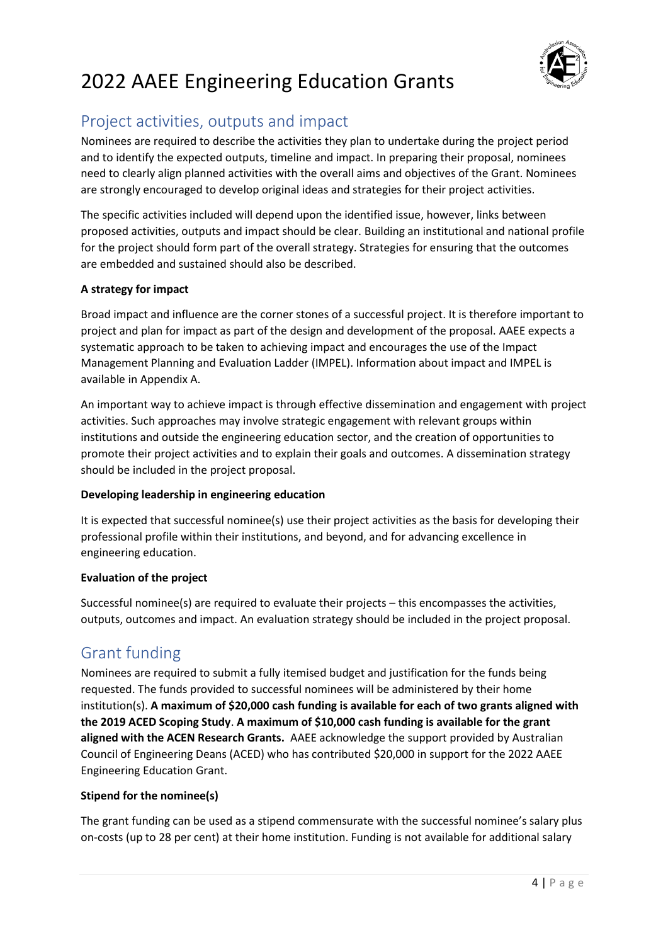

# Project activities, outputs and impact

Nominees are required to describe the activities they plan to undertake during the project period and to identify the expected outputs, timeline and impact. In preparing their proposal, nominees need to clearly align planned activities with the overall aims and objectives of the Grant. Nominees are strongly encouraged to develop original ideas and strategies for their project activities.

The specific activities included will depend upon the identified issue, however, links between proposed activities, outputs and impact should be clear. Building an institutional and national profile for the project should form part of the overall strategy. Strategies for ensuring that the outcomes are embedded and sustained should also be described.

### **A strategy for impact**

Broad impact and influence are the corner stones of a successful project. It is therefore important to project and plan for impact as part of the design and development of the proposal. AAEE expects a systematic approach to be taken to achieving impact and encourages the use of the Impact Management Planning and Evaluation Ladder (IMPEL). Information about impact and IMPEL is available in Appendix A.

An important way to achieve impact is through effective dissemination and engagement with project activities. Such approaches may involve strategic engagement with relevant groups within institutions and outside the engineering education sector, and the creation of opportunities to promote their project activities and to explain their goals and outcomes. A dissemination strategy should be included in the project proposal.

### **Developing leadership in engineering education**

It is expected that successful nominee(s) use their project activities as the basis for developing their professional profile within their institutions, and beyond, and for advancing excellence in engineering education.

### **Evaluation of the project**

Successful nominee(s) are required to evaluate their projects – this encompasses the activities, outputs, outcomes and impact. An evaluation strategy should be included in the project proposal.

# Grant funding

Nominees are required to submit a fully itemised budget and justification for the funds being requested. The funds provided to successful nominees will be administered by their home institution(s). **A maximum of \$20,000 cash funding is available for each of two grants aligned with the 2019 ACED Scoping Study**. **A maximum of \$10,000 cash funding is available for the grant aligned with the ACEN Research Grants.** AAEE acknowledge the support provided by Australian Council of Engineering Deans (ACED) who has contributed \$20,000 in support for the 2022 AAEE Engineering Education Grant.

### **Stipend for the nominee(s)**

The grant funding can be used as a stipend commensurate with the successful nominee's salary plus on-costs (up to 28 per cent) at their home institution. Funding is not available for additional salary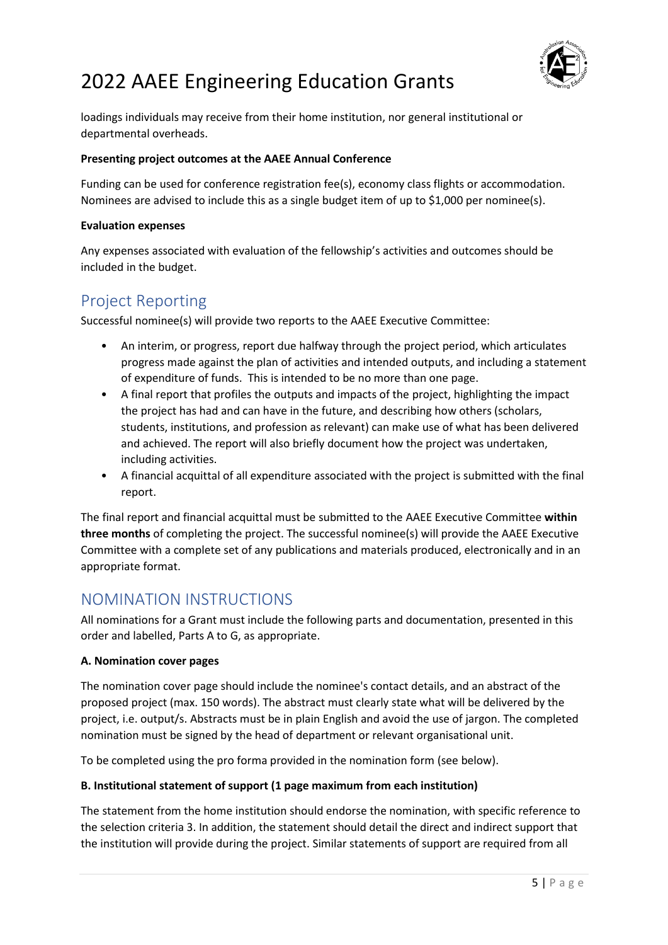

loadings individuals may receive from their home institution, nor general institutional or departmental overheads.

#### **Presenting project outcomes at the AAEE Annual Conference**

Funding can be used for conference registration fee(s), economy class flights or accommodation. Nominees are advised to include this as a single budget item of up to \$1,000 per nominee(s).

#### **Evaluation expenses**

Any expenses associated with evaluation of the fellowship's activities and outcomes should be included in the budget.

## Project Reporting

Successful nominee(s) will provide two reports to the AAEE Executive Committee:

- An interim, or progress, report due halfway through the project period, which articulates progress made against the plan of activities and intended outputs, and including a statement of expenditure of funds. This is intended to be no more than one page.
- A final report that profiles the outputs and impacts of the project, highlighting the impact the project has had and can have in the future, and describing how others (scholars, students, institutions, and profession as relevant) can make use of what has been delivered and achieved. The report will also briefly document how the project was undertaken, including activities.
- A financial acquittal of all expenditure associated with the project is submitted with the final report.

The final report and financial acquittal must be submitted to the AAEE Executive Committee **within three months** of completing the project. The successful nominee(s) will provide the AAEE Executive Committee with a complete set of any publications and materials produced, electronically and in an appropriate format.

## NOMINATION INSTRUCTIONS

All nominations for a Grant must include the following parts and documentation, presented in this order and labelled, Parts A to G, as appropriate.

### **A. Nomination cover pages**

The nomination cover page should include the nominee's contact details, and an abstract of the proposed project (max. 150 words). The abstract must clearly state what will be delivered by the project, i.e. output/s. Abstracts must be in plain English and avoid the use of jargon. The completed nomination must be signed by the head of department or relevant organisational unit.

To be completed using the pro forma provided in the nomination form (see below).

### **B. Institutional statement of support (1 page maximum from each institution)**

The statement from the home institution should endorse the nomination, with specific reference to the selection criteria 3. In addition, the statement should detail the direct and indirect support that the institution will provide during the project. Similar statements of support are required from all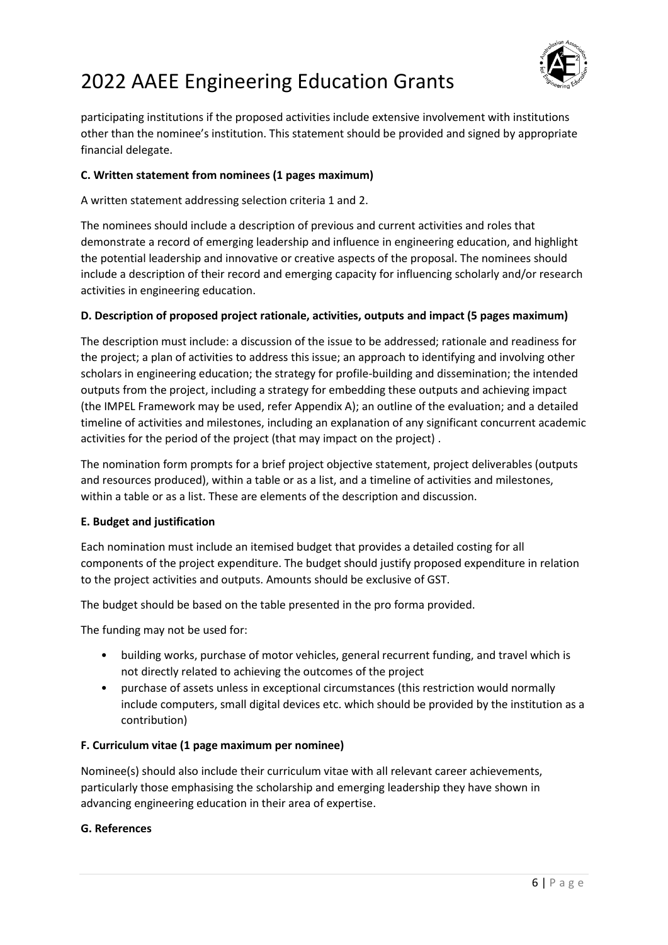

participating institutions if the proposed activities include extensive involvement with institutions other than the nominee's institution. This statement should be provided and signed by appropriate financial delegate.

### **C. Written statement from nominees (1 pages maximum)**

A written statement addressing selection criteria 1 and 2.

The nominees should include a description of previous and current activities and roles that demonstrate a record of emerging leadership and influence in engineering education, and highlight the potential leadership and innovative or creative aspects of the proposal. The nominees should include a description of their record and emerging capacity for influencing scholarly and/or research activities in engineering education.

### **D. Description of proposed project rationale, activities, outputs and impact (5 pages maximum)**

The description must include: a discussion of the issue to be addressed; rationale and readiness for the project; a plan of activities to address this issue; an approach to identifying and involving other scholars in engineering education; the strategy for profile-building and dissemination; the intended outputs from the project, including a strategy for embedding these outputs and achieving impact (the IMPEL Framework may be used, refer Appendix A); an outline of the evaluation; and a detailed timeline of activities and milestones, including an explanation of any significant concurrent academic activities for the period of the project (that may impact on the project) .

The nomination form prompts for a brief project objective statement, project deliverables (outputs and resources produced), within a table or as a list, and a timeline of activities and milestones, within a table or as a list. These are elements of the description and discussion.

### **E. Budget and justification**

Each nomination must include an itemised budget that provides a detailed costing for all components of the project expenditure. The budget should justify proposed expenditure in relation to the project activities and outputs. Amounts should be exclusive of GST.

The budget should be based on the table presented in the pro forma provided.

The funding may not be used for:

- building works, purchase of motor vehicles, general recurrent funding, and travel which is not directly related to achieving the outcomes of the project
- purchase of assets unless in exceptional circumstances (this restriction would normally include computers, small digital devices etc. which should be provided by the institution as a contribution)

### **F. Curriculum vitae (1 page maximum per nominee)**

Nominee(s) should also include their curriculum vitae with all relevant career achievements, particularly those emphasising the scholarship and emerging leadership they have shown in advancing engineering education in their area of expertise.

### **G. References**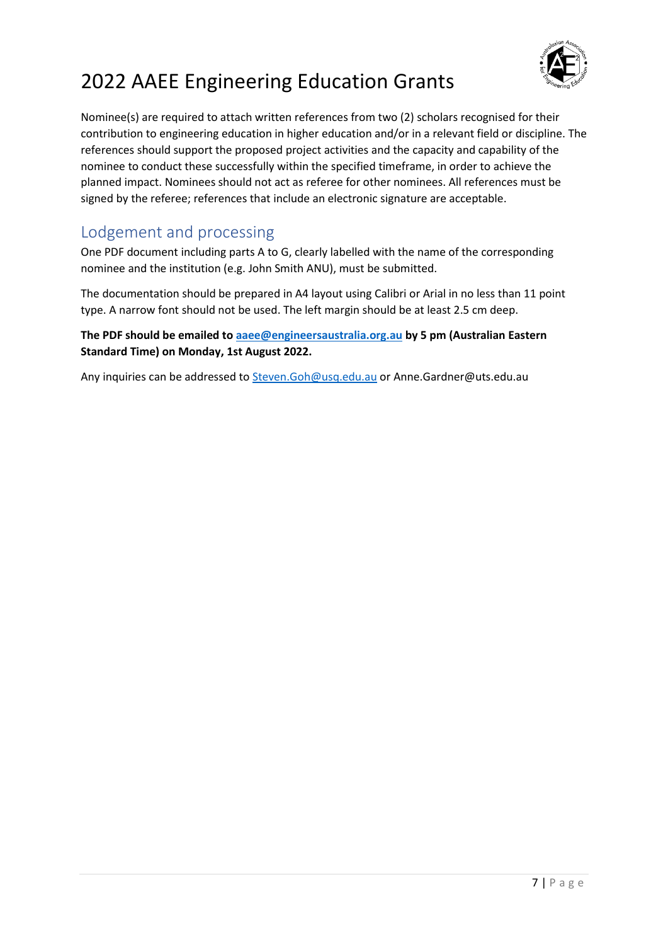

Nominee(s) are required to attach written references from two (2) scholars recognised for their contribution to engineering education in higher education and/or in a relevant field or discipline. The references should support the proposed project activities and the capacity and capability of the nominee to conduct these successfully within the specified timeframe, in order to achieve the planned impact. Nominees should not act as referee for other nominees. All references must be signed by the referee; references that include an electronic signature are acceptable.

# Lodgement and processing

One PDF document including parts A to G, clearly labelled with the name of the corresponding nominee and the institution (e.g. John Smith ANU), must be submitted.

The documentation should be prepared in A4 layout using Calibri or Arial in no less than 11 point type. A narrow font should not be used. The left margin should be at least 2.5 cm deep.

**The PDF should be emailed to [aaee@engineersaustralia.org.au](mailto:aaee@engineersaustralia.org.au) by 5 pm (Australian Eastern Standard Time) on Monday, 1st August 2022.**

Any inquiries can be addressed to [Steven.Goh@usq.edu.au](mailto:Steven.Goh@usq.edu.au) or Anne.Gardner@uts.edu.au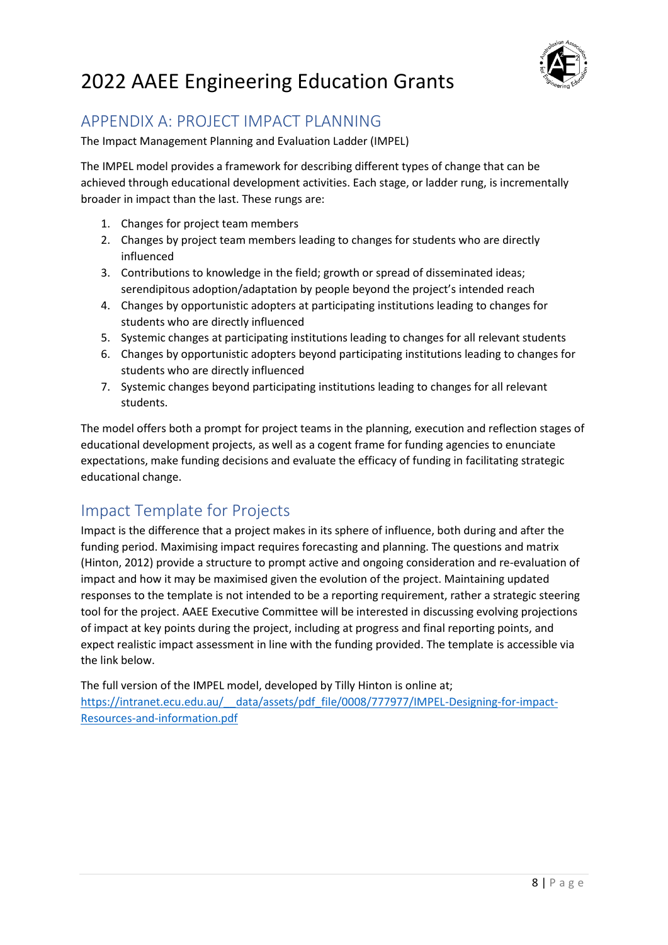

## APPENDIX A: PROJECT IMPACT PLANNING

The Impact Management Planning and Evaluation Ladder (IMPEL)

The IMPEL model provides a framework for describing different types of change that can be achieved through educational development activities. Each stage, or ladder rung, is incrementally broader in impact than the last. These rungs are:

- 1. Changes for project team members
- 2. Changes by project team members leading to changes for students who are directly influenced
- 3. Contributions to knowledge in the field; growth or spread of disseminated ideas; serendipitous adoption/adaptation by people beyond the project's intended reach
- 4. Changes by opportunistic adopters at participating institutions leading to changes for students who are directly influenced
- 5. Systemic changes at participating institutions leading to changes for all relevant students
- 6. Changes by opportunistic adopters beyond participating institutions leading to changes for students who are directly influenced
- 7. Systemic changes beyond participating institutions leading to changes for all relevant students.

The model offers both a prompt for project teams in the planning, execution and reflection stages of educational development projects, as well as a cogent frame for funding agencies to enunciate expectations, make funding decisions and evaluate the efficacy of funding in facilitating strategic educational change.

# Impact Template for Projects

Impact is the difference that a project makes in its sphere of influence, both during and after the funding period. Maximising impact requires forecasting and planning. The questions and matrix (Hinton, 2012) provide a structure to prompt active and ongoing consideration and re-evaluation of impact and how it may be maximised given the evolution of the project. Maintaining updated responses to the template is not intended to be a reporting requirement, rather a strategic steering tool for the project. AAEE Executive Committee will be interested in discussing evolving projections of impact at key points during the project, including at progress and final reporting points, and expect realistic impact assessment in line with the funding provided. The template is accessible via the link below.

The full version of the IMPEL model, developed by Tilly Hinton is online at; [https://intranet.ecu.edu.au/\\_\\_data/assets/pdf\\_file/0008/777977/IMPEL-Designing-for-impact-](https://intranet.ecu.edu.au/__data/assets/pdf_file/0008/777977/IMPEL-Designing-for-impact-Resources-and-information.pdf)[Resources-and-information.pdf](https://intranet.ecu.edu.au/__data/assets/pdf_file/0008/777977/IMPEL-Designing-for-impact-Resources-and-information.pdf)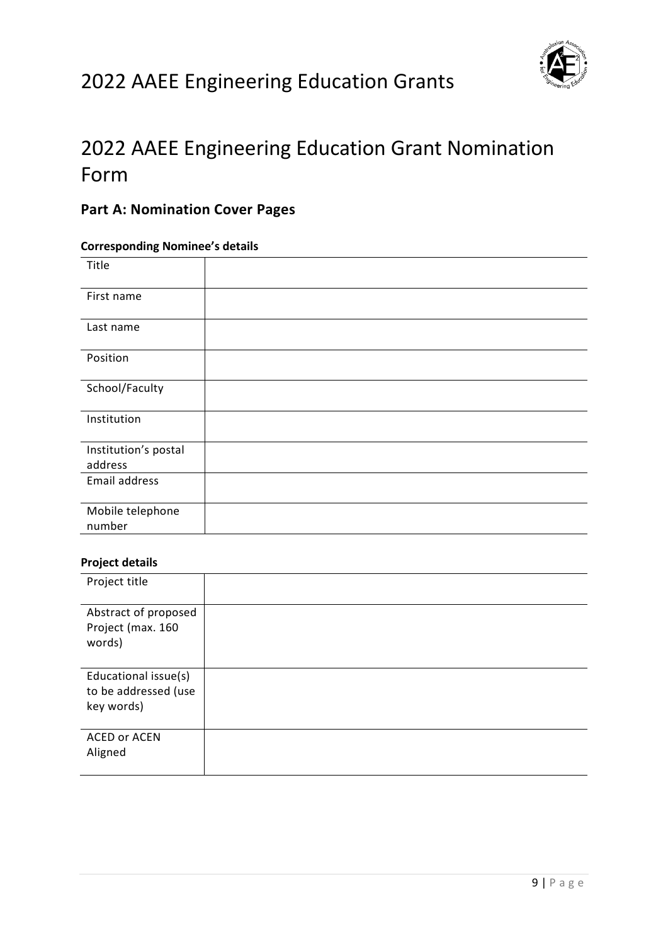

# 2022 AAEE Engineering Education Grant Nomination Form

## **Part A: Nomination Cover Pages**

## **Corresponding Nominee's details**

| Title                           |  |
|---------------------------------|--|
| First name                      |  |
| Last name                       |  |
| Position                        |  |
| School/Faculty                  |  |
| Institution                     |  |
| Institution's postal<br>address |  |
| Email address                   |  |
| Mobile telephone<br>number      |  |

### **Project details**

| Project title                                              |  |
|------------------------------------------------------------|--|
| Abstract of proposed<br>Project (max. 160<br>words)        |  |
|                                                            |  |
| Educational issue(s)<br>to be addressed (use<br>key words) |  |
| <b>ACED or ACEN</b><br>Aligned                             |  |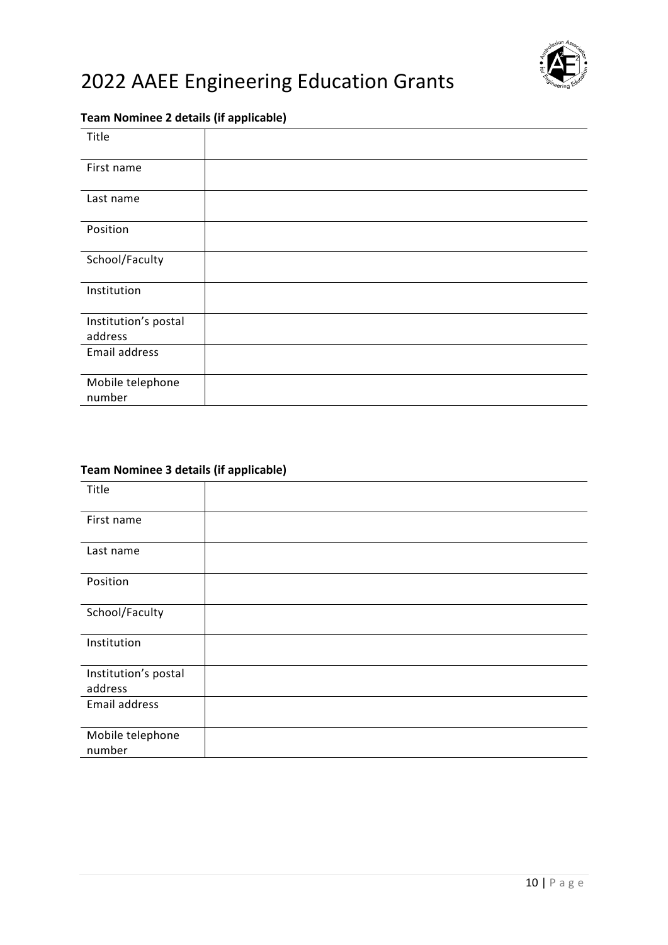

## **Team Nominee 2 details (if applicable)**

| Title                           |  |  |
|---------------------------------|--|--|
| First name                      |  |  |
| Last name                       |  |  |
| Position                        |  |  |
| School/Faculty                  |  |  |
| Institution                     |  |  |
| Institution's postal<br>address |  |  |
| Email address                   |  |  |
| Mobile telephone<br>number      |  |  |

## **Team Nominee 3 details (if applicable)**

| Title                           |  |
|---------------------------------|--|
| First name                      |  |
| Last name                       |  |
| Position                        |  |
| School/Faculty                  |  |
| Institution                     |  |
| Institution's postal<br>address |  |
| Email address                   |  |
| Mobile telephone<br>number      |  |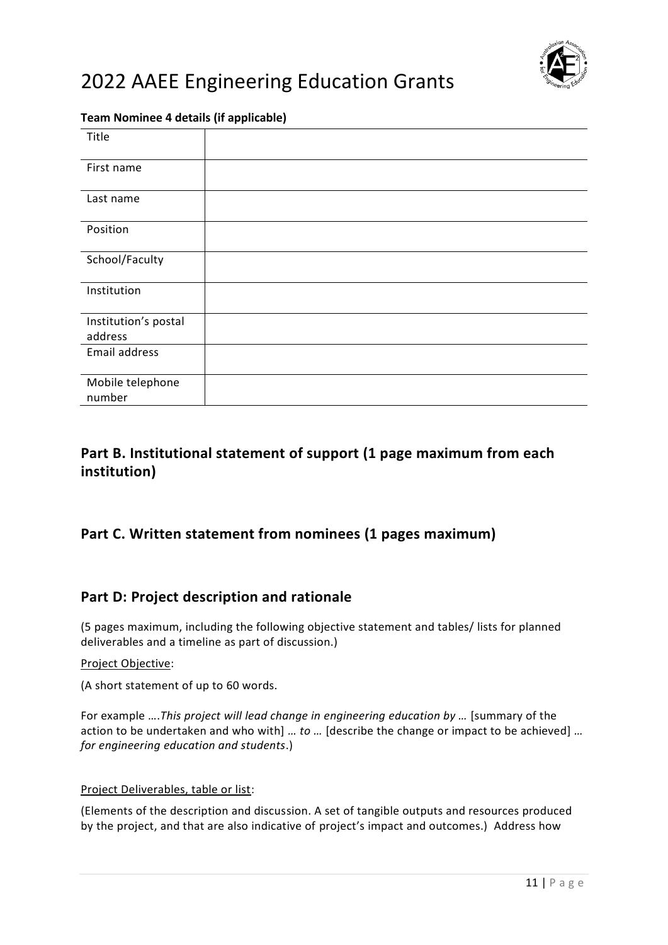

### **Team Nominee 4 details (if applicable)**

| Title                           |  |  |
|---------------------------------|--|--|
| First name                      |  |  |
| Last name                       |  |  |
| Position                        |  |  |
| School/Faculty                  |  |  |
| Institution                     |  |  |
| Institution's postal<br>address |  |  |
| Email address                   |  |  |
|                                 |  |  |
| Mobile telephone                |  |  |
| number                          |  |  |

## **Part B. Institutional statement of support (1 page maximum from each institution)**

## **Part C. Written statement from nominees (1 pages maximum)**

## **Part D: Project description and rationale**

(5 pages maximum, including the following objective statement and tables/ lists for planned deliverables and a timeline as part of discussion.)

#### Project Objective:

(A short statement of up to 60 words.

For example ….*This project will lead change in engineering education by …* [summary of the action to be undertaken and who with] *… to …* [describe the change or impact to be achieved] *… for engineering education and students*.)

#### Project Deliverables, table or list:

(Elements of the description and discussion. A set of tangible outputs and resources produced by the project, and that are also indicative of project's impact and outcomes.) Address how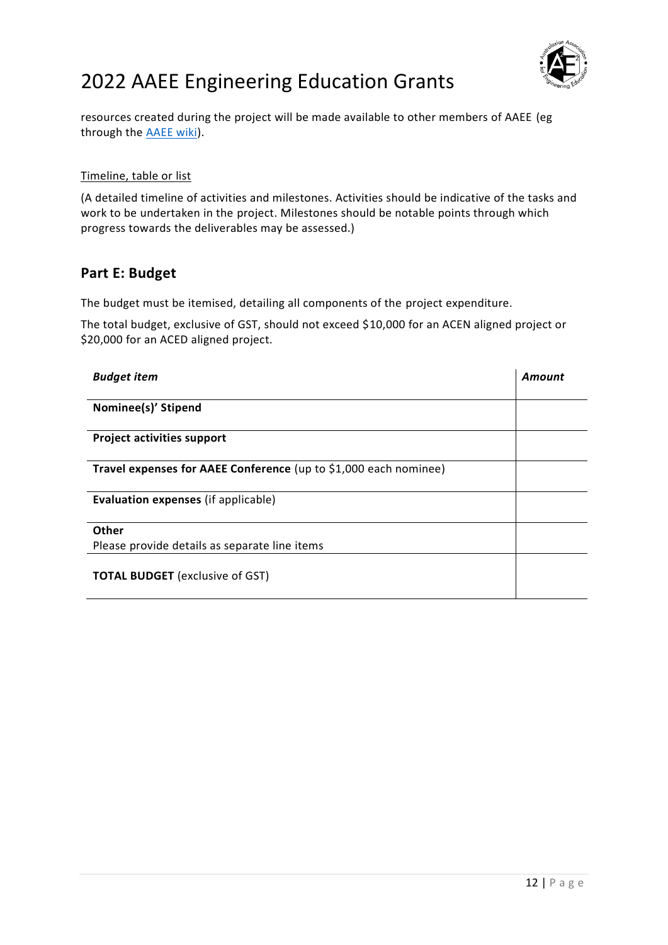

resources created during the project will be made available to other members of AAEE (eg through the [AAEE wiki\)](http://aaee-scholar.pbworks.com/w/page/1177054/FrontPage).

#### Timeline, table or list

(A detailed timeline of activities and milestones. Activities should be indicative of the tasks and work to be undertaken in the project. Milestones should be notable points through which progress towards the deliverables may be assessed.)

## **Part E: Budget**

The budget must be itemised, detailing all components of the project expenditure.

The total budget, exclusive of GST, should not exceed \$10,000 for an ACEN aligned project or \$20,000 for an ACED aligned project.

| <b>Budget item</b>                                               | Amount |
|------------------------------------------------------------------|--------|
|                                                                  |        |
| Nominee(s)' Stipend                                              |        |
|                                                                  |        |
| <b>Project activities support</b>                                |        |
|                                                                  |        |
| Travel expenses for AAEE Conference (up to \$1,000 each nominee) |        |
|                                                                  |        |
| <b>Evaluation expenses (if applicable)</b>                       |        |
|                                                                  |        |
| Other                                                            |        |
| Please provide details as separate line items                    |        |
|                                                                  |        |
| <b>TOTAL BUDGET</b> (exclusive of GST)                           |        |
|                                                                  |        |